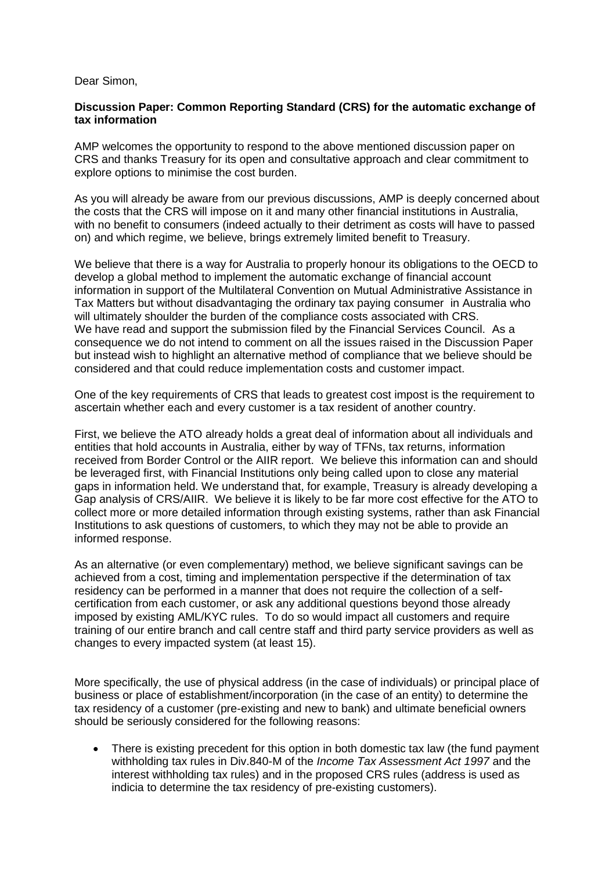## Dear Simon,

## **Discussion Paper: Common Reporting Standard (CRS) for the automatic exchange of tax information**

AMP welcomes the opportunity to respond to the above mentioned discussion paper on CRS and thanks Treasury for its open and consultative approach and clear commitment to explore options to minimise the cost burden.

As you will already be aware from our previous discussions, AMP is deeply concerned about the costs that the CRS will impose on it and many other financial institutions in Australia, with no benefit to consumers (indeed actually to their detriment as costs will have to passed on) and which regime, we believe, brings extremely limited benefit to Treasury.

We believe that there is a way for Australia to properly honour its obligations to the OECD to develop a global method to implement the automatic exchange of financial account information in support of the Multilateral Convention on Mutual Administrative Assistance in Tax Matters but without disadvantaging the ordinary tax paying consumer in Australia who will ultimately shoulder the burden of the compliance costs associated with CRS. We have read and support the submission filed by the Financial Services Council. As a consequence we do not intend to comment on all the issues raised in the Discussion Paper but instead wish to highlight an alternative method of compliance that we believe should be considered and that could reduce implementation costs and customer impact.

One of the key requirements of CRS that leads to greatest cost impost is the requirement to ascertain whether each and every customer is a tax resident of another country.

First, we believe the ATO already holds a great deal of information about all individuals and entities that hold accounts in Australia, either by way of TFNs, tax returns, information received from Border Control or the AIIR report. We believe this information can and should be leveraged first, with Financial Institutions only being called upon to close any material gaps in information held. We understand that, for example, Treasury is already developing a Gap analysis of CRS/AIIR. We believe it is likely to be far more cost effective for the ATO to collect more or more detailed information through existing systems, rather than ask Financial Institutions to ask questions of customers, to which they may not be able to provide an informed response.

As an alternative (or even complementary) method, we believe significant savings can be achieved from a cost, timing and implementation perspective if the determination of tax residency can be performed in a manner that does not require the collection of a selfcertification from each customer, or ask any additional questions beyond those already imposed by existing AML/KYC rules. To do so would impact all customers and require training of our entire branch and call centre staff and third party service providers as well as changes to every impacted system (at least 15).

More specifically, the use of physical address (in the case of individuals) or principal place of business or place of establishment/incorporation (in the case of an entity) to determine the tax residency of a customer (pre-existing and new to bank) and ultimate beneficial owners should be seriously considered for the following reasons:

• There is existing precedent for this option in both domestic tax law (the fund payment withholding tax rules in Div.840-M of the *Income Tax Assessment Act 1997* and the interest withholding tax rules) and in the proposed CRS rules (address is used as indicia to determine the tax residency of pre-existing customers).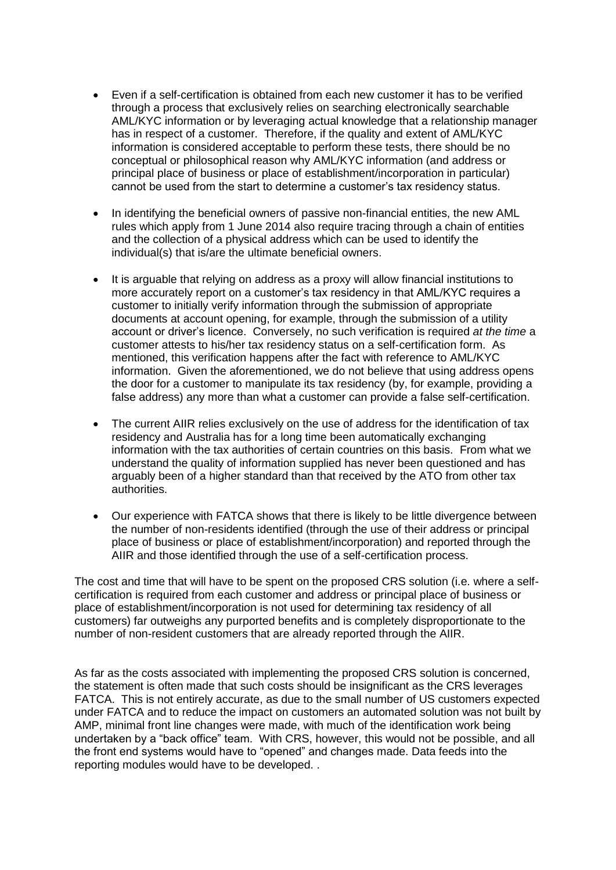- Even if a self-certification is obtained from each new customer it has to be verified through a process that exclusively relies on searching electronically searchable AML/KYC information or by leveraging actual knowledge that a relationship manager has in respect of a customer. Therefore, if the quality and extent of AML/KYC information is considered acceptable to perform these tests, there should be no conceptual or philosophical reason why AML/KYC information (and address or principal place of business or place of establishment/incorporation in particular) cannot be used from the start to determine a customer's tax residency status.
- In identifying the beneficial owners of passive non-financial entities, the new AML rules which apply from 1 June 2014 also require tracing through a chain of entities and the collection of a physical address which can be used to identify the individual(s) that is/are the ultimate beneficial owners.
- It is arguable that relying on address as a proxy will allow financial institutions to more accurately report on a customer's tax residency in that AML/KYC requires a customer to initially verify information through the submission of appropriate documents at account opening, for example, through the submission of a utility account or driver's licence. Conversely, no such verification is required *at the time* a customer attests to his/her tax residency status on a self-certification form. As mentioned, this verification happens after the fact with reference to AML/KYC information. Given the aforementioned, we do not believe that using address opens the door for a customer to manipulate its tax residency (by, for example, providing a false address) any more than what a customer can provide a false self-certification.
- The current AIIR relies exclusively on the use of address for the identification of tax residency and Australia has for a long time been automatically exchanging information with the tax authorities of certain countries on this basis. From what we understand the quality of information supplied has never been questioned and has arguably been of a higher standard than that received by the ATO from other tax authorities.
- Our experience with FATCA shows that there is likely to be little divergence between the number of non-residents identified (through the use of their address or principal place of business or place of establishment/incorporation) and reported through the AIIR and those identified through the use of a self-certification process.

The cost and time that will have to be spent on the proposed CRS solution (i.e. where a selfcertification is required from each customer and address or principal place of business or place of establishment/incorporation is not used for determining tax residency of all customers) far outweighs any purported benefits and is completely disproportionate to the number of non-resident customers that are already reported through the AIIR.

As far as the costs associated with implementing the proposed CRS solution is concerned, the statement is often made that such costs should be insignificant as the CRS leverages FATCA. This is not entirely accurate, as due to the small number of US customers expected under FATCA and to reduce the impact on customers an automated solution was not built by AMP, minimal front line changes were made, with much of the identification work being undertaken by a "back office" team. With CRS, however, this would not be possible, and all the front end systems would have to "opened" and changes made. Data feeds into the reporting modules would have to be developed. .